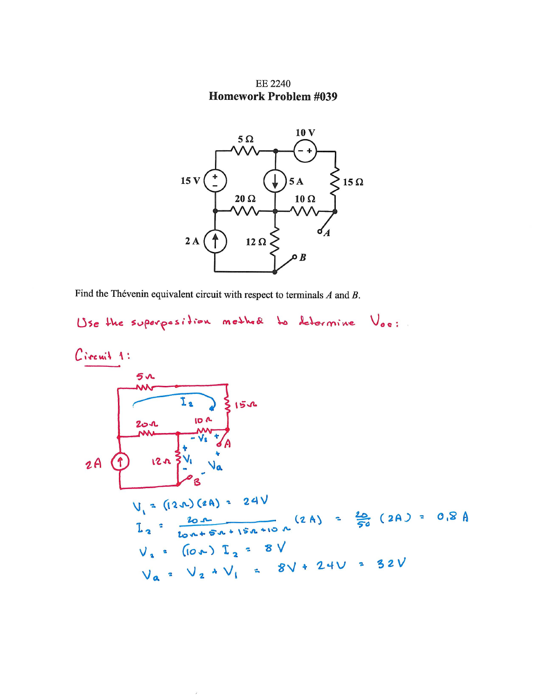**EE 2240 Homework Problem #039** 



Find the Thévenin equivalent circuit with respect to terminals  $A$  and  $B$ .

 $\mathcal{E}$ 

```
Use the superposition method to determine Vos:
```
Circuit 1:  
\n
$$
5u
$$
  
\n $25u$   
\n $25u$   
\n $25u$   
\n $25u$   
\n $25u$   
\n $25u$   
\n $25u$   
\n $25u$   
\n $25u$   
\n $25u$   
\n $25u$   
\n $25u$   
\n $25u$   
\n $25u$   
\n $25u$   
\n $25u$   
\n $25u$   
\n $25u$   
\n $25u$   
\n $25u$   
\n $25u$   
\n $25u$   
\n $25u$   
\n $25u$   
\n $25u$   
\n $25u$   
\n $25u$   
\n $25u$   
\n $25u$   
\n $25u$   
\n $25u$   
\n $25u$   
\n $25u$   
\n $25u$   
\n $25u$   
\n $25u$   
\n $25u$   
\n $25u$   
\n $25u$   
\n $25u$   
\n $25u$   
\n $25u$   
\n $25u$   
\n $25u$   
\n $25u$   
\n $25u$   
\n $25u$   
\n $25u$   
\n $25u$   
\n $25u$   
\n $25u$   
\n $25u$   
\n $25u$   
\n $25u$   
\n $25u$   
\n $25u$   
\n $25u$   
\n $25u$   
\n $25u$   
\n $25u$   
\n $25u$   
\n $25u$   
\n<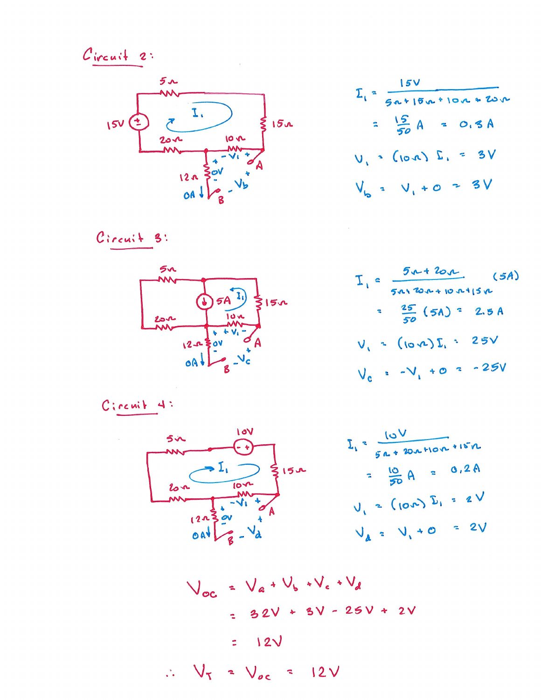Circuit 2:



$$
\Sigma_{1} = \frac{15V}{50*150*100*20}
$$
  
=  $\frac{15}{50}A = 0.3A$   
 $V_{b} = V_{1} + 0 = 3V$ 

Circuit 3:



$$
I_{1} = \frac{5r + 20r}{5r + 20r + 10r + 15r}
$$
 (5A)  

$$
= \frac{25}{50} (5A) = 2.5A
$$
  

$$
V_{1} = (10r + 1)I_{1} = 25V
$$
  

$$
V_{0} = -V_{1} + 0 = -25V
$$

$$
C: \mathsf{cc} \mathsf{uit} \; 4:
$$

$$
\frac{5x}{100}
$$
  
\n
$$
\frac{10y}{5a+20x+10n+15n}
$$
  
\n
$$
\frac{1}{5a+20x+10n+15n}
$$
  
\n
$$
\frac{10y}{5a+20x+10n+15n}
$$
  
\n
$$
\frac{10y}{5a+20x+10n+15n}
$$
  
\n
$$
\frac{10y}{5a+20x+10n+15n}
$$
  
\n
$$
\frac{10y}{5a+20x+10n+15n}
$$
  
\n
$$
\frac{10y}{5a+20x+10n+15n}
$$
  
\n
$$
\frac{10y}{5a+20x+10n+15n}
$$

$$
V_{oc} = V_{a} + V_{b} + V_{c} + V_{d}
$$
  
= 32V + 3V - 25V + 2V  
= 12V  

$$
\therefore V_{T} = V_{oc} = 12V
$$